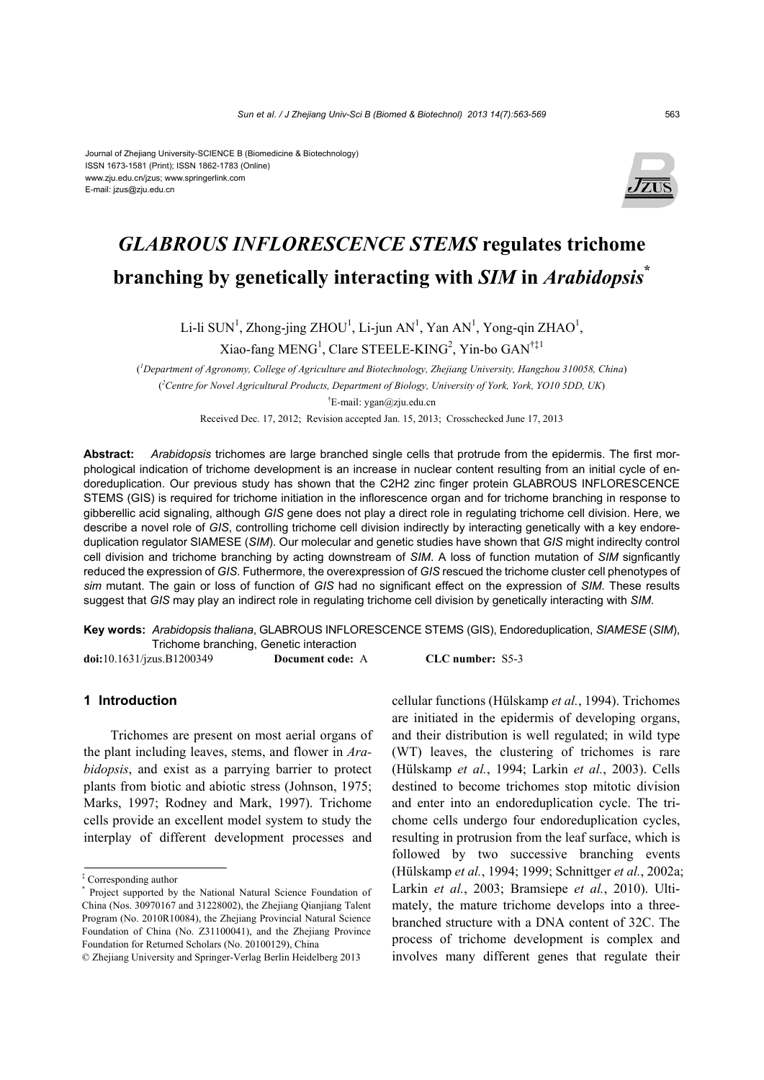

# *GLABROUS INFLORESCENCE STEMS* **regulates trichome branching by genetically interacting with** *SIM* **in** *Arabidopsis***\***

Li-li SUN<sup>1</sup>, Zhong-jing ZHOU<sup>1</sup>, Li-jun AN<sup>1</sup>, Yan AN<sup>1</sup>, Yong-qin ZHAO<sup>1</sup>, Xiao-fang MENG<sup>1</sup>, Clare STEELE-KING<sup>2</sup>, Yin-bo GAN<sup>†‡1</sup>

( *1 Department of Agronomy, College of Agriculture and Biotechnology, Zhejiang University, Hangzhou 310058, China*) ( *2 Centre for Novel Agricultural Products, Department of Biology, University of York, York, YO10 5DD, UK*)  $E$ -mail: ygan@zju.edu.cn Received Dec. 17, 2012; Revision accepted Jan. 15, 2013; Crosschecked June 17, 2013

**Abstract:** *Arabidopsis* trichomes are large branched single cells that protrude from the epidermis. The first morphological indication of trichome development is an increase in nuclear content resulting from an initial cycle of endoreduplication. Our previous study has shown that the C2H2 zinc finger protein GLABROUS INFLORESCENCE STEMS (GIS) is required for trichome initiation in the inflorescence organ and for trichome branching in response to gibberellic acid signaling, although *GIS* gene does not play a direct role in regulating trichome cell division. Here, we describe a novel role of *GIS*, controlling trichome cell division indirectly by interacting genetically with a key endoreduplication regulator SIAMESE (*SIM*). Our molecular and genetic studies have shown that *GIS* might indireclty control cell division and trichome branching by acting downstream of *SIM*. A loss of function mutation of *SIM* signficantly reduced the expression of *GIS*. Futhermore, the overexpression of *GIS* rescued the trichome cluster cell phenotypes of *sim* mutant. The gain or loss of function of *GIS* had no significant effect on the expression of *SIM*. These results suggest that *GIS* may play an indirect role in regulating trichome cell division by genetically interacting with *SIM*.

**Key words:** *Arabidopsis thaliana*, GLABROUS INFLORESCENCE STEMS (GIS), Endoreduplication, *SIAMESE* (*SIM*), Trichome branching, Genetic interaction

**doi:**10.1631/jzus.B1200349 **Document code:** A **CLC number:** S5-3

## **1 Introduction**

Trichomes are present on most aerial organs of the plant including leaves, stems, and flower in *Arabidopsis*, and exist as a parrying barrier to protect plants from biotic and abiotic stress (Johnson, 1975; Marks, 1997; Rodney and Mark, 1997). Trichome cells provide an excellent model system to study the interplay of different development processes and cellular functions (Hülskamp *et al.*, 1994). Trichomes are initiated in the epidermis of developing organs, and their distribution is well regulated; in wild type (WT) leaves, the clustering of trichomes is rare (Hülskamp *et al.*, 1994; Larkin *et al.*, 2003). Cells destined to become trichomes stop mitotic division and enter into an endoreduplication cycle. The trichome cells undergo four endoreduplication cycles, resulting in protrusion from the leaf surface, which is followed by two successive branching events (Hülskamp *et al.*, 1994; 1999; Schnittger *et al.*, 2002a; Larkin *et al.*, 2003; Bramsiepe *et al.*, 2010). Ultimately, the mature trichome develops into a threebranched structure with a DNA content of 32C. The process of trichome development is complex and involves many different genes that regulate their

<sup>‡</sup> Corresponding author

<sup>\*</sup> Project supported by the National Natural Science Foundation of China (Nos. 30970167 and 31228002), the Zhejiang Qianjiang Talent Program (No. 2010R10084), the Zhejiang Provincial Natural Science Foundation of China (No. Z31100041), and the Zhejiang Province Foundation for Returned Scholars (No. 20100129), China

<sup>©</sup> Zhejiang University and Springer-Verlag Berlin Heidelberg 2013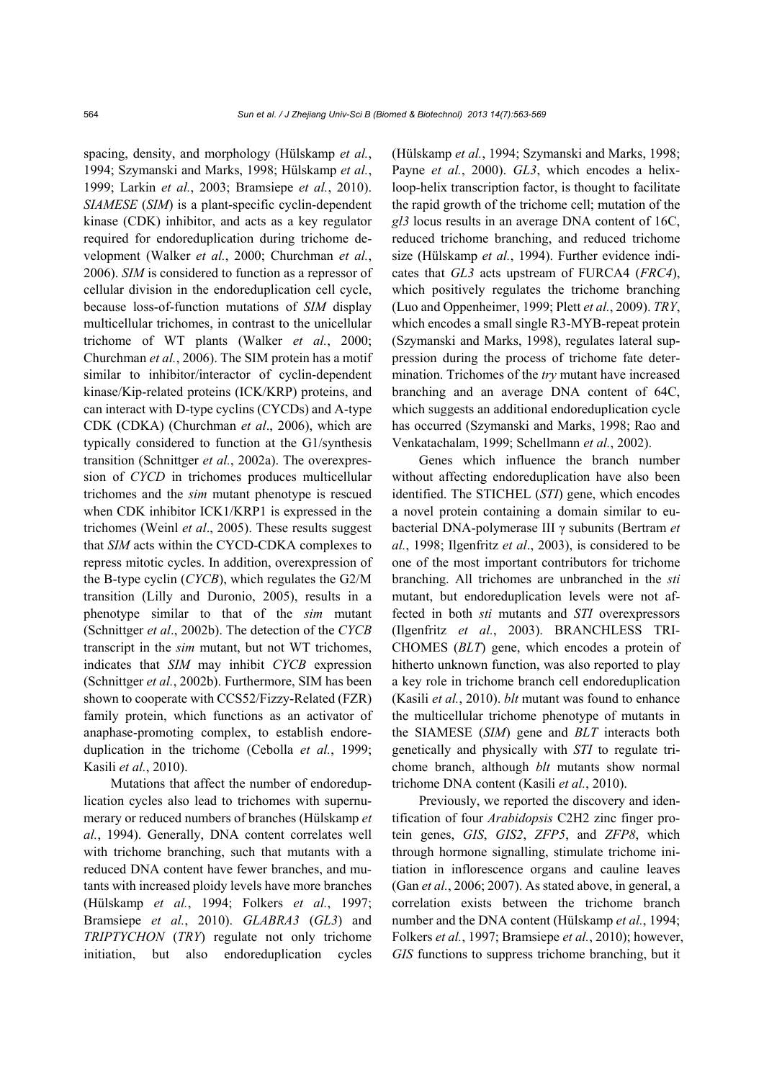spacing, density, and morphology (Hülskamp *et al.*, 1994; Szymanski and Marks, 1998; Hülskamp *et al.*, 1999; Larkin *et al.*, 2003; Bramsiepe *et al.*, 2010). *SIAMESE* (*SIM*) is a plant-specific cyclin-dependent kinase (CDK) inhibitor, and acts as a key regulator required for endoreduplication during trichome development (Walker *et al.*, 2000; Churchman *et al.*, 2006). *SIM* is considered to function as a repressor of cellular division in the endoreduplication cell cycle, because loss-of-function mutations of *SIM* display multicellular trichomes, in contrast to the unicellular trichome of WT plants (Walker *et al.*, 2000; Churchman *et al.*, 2006). The SIM protein has a motif similar to inhibitor/interactor of cyclin-dependent kinase/Kip-related proteins (ICK/KRP) proteins, and can interact with D-type cyclins (CYCDs) and A-type CDK (CDKA) (Churchman *et al*., 2006), which are typically considered to function at the G1/synthesis transition (Schnittger *et al.*, 2002a). The overexpression of *CYCD* in trichomes produces multicellular trichomes and the *sim* mutant phenotype is rescued when CDK inhibitor ICK1/KRP1 is expressed in the trichomes (Weinl *et al*., 2005). These results suggest that *SIM* acts within the CYCD-CDKA complexes to repress mitotic cycles. In addition, overexpression of the B-type cyclin (*CYCB*), which regulates the G2/M transition (Lilly and Duronio, 2005), results in a phenotype similar to that of the *sim* mutant (Schnittger *et al*., 2002b). The detection of the *CYCB* transcript in the *sim* mutant, but not WT trichomes, indicates that *SIM* may inhibit *CYCB* expression (Schnittger *et al.*, 2002b). Furthermore, SIM has been shown to cooperate with CCS52/Fizzy-Related (FZR) family protein, which functions as an activator of anaphase-promoting complex, to establish endoreduplication in the trichome (Cebolla *et al.*, 1999; Kasili *et al.*, 2010).

Mutations that affect the number of endoreduplication cycles also lead to trichomes with supernumerary or reduced numbers of branches (Hülskamp *et al.*, 1994). Generally, DNA content correlates well with trichome branching, such that mutants with a reduced DNA content have fewer branches, and mutants with increased ploidy levels have more branches (Hülskamp *et al.*, 1994; Folkers *et al.*, 1997; Bramsiepe *et al.*, 2010). *GLABRA3* (*GL3*) and *TRIPTYCHON* (*TRY*) regulate not only trichome initiation, but also endoreduplication cycles

(Hülskamp *et al.*, 1994; Szymanski and Marks, 1998; Payne *et al.*, 2000). *GL3*, which encodes a helixloop-helix transcription factor, is thought to facilitate the rapid growth of the trichome cell; mutation of the *gl3* locus results in an average DNA content of 16C, reduced trichome branching, and reduced trichome size (Hülskamp *et al.*, 1994). Further evidence indicates that *GL3* acts upstream of FURCA4 (*FRC4*), which positively regulates the trichome branching (Luo and Oppenheimer, 1999; Plett *et al.*, 2009). *TRY*, which encodes a small single R3-MYB-repeat protein (Szymanski and Marks, 1998), regulates lateral suppression during the process of trichome fate determination. Trichomes of the *try* mutant have increased branching and an average DNA content of 64C, which suggests an additional endoreduplication cycle has occurred (Szymanski and Marks, 1998; Rao and Venkatachalam, 1999; Schellmann *et al.*, 2002).

Genes which influence the branch number without affecting endoreduplication have also been identified. The STICHEL (*STI*) gene, which encodes a novel protein containing a domain similar to eubacterial DNA-polymerase III γ subunits (Bertram *et al.*, 1998; Ilgenfritz *et al*., 2003), is considered to be one of the most important contributors for trichome branching. All trichomes are unbranched in the *sti* mutant, but endoreduplication levels were not affected in both *sti* mutants and *STI* overexpressors (Ilgenfritz *et al.*, 2003). BRANCHLESS TRI-CHOMES (*BLT*) gene, which encodes a protein of hitherto unknown function, was also reported to play a key role in trichome branch cell endoreduplication (Kasili *et al.*, 2010). *blt* mutant was found to enhance the multicellular trichome phenotype of mutants in the SIAMESE (*SIM*) gene and *BLT* interacts both genetically and physically with *STI* to regulate trichome branch, although *blt* mutants show normal trichome DNA content (Kasili *et al.*, 2010).

Previously, we reported the discovery and identification of four *Arabidopsis* C2H2 zinc finger protein genes, *GIS*, *GIS2*, *ZFP5*, and *ZFP8*, which through hormone signalling, stimulate trichome initiation in inflorescence organs and cauline leaves (Gan *et al.*, 2006; 2007). As stated above, in general, a correlation exists between the trichome branch number and the DNA content (Hülskamp *et al.*, 1994; Folkers *et al.*, 1997; Bramsiepe *et al.*, 2010); however, *GIS* functions to suppress trichome branching, but it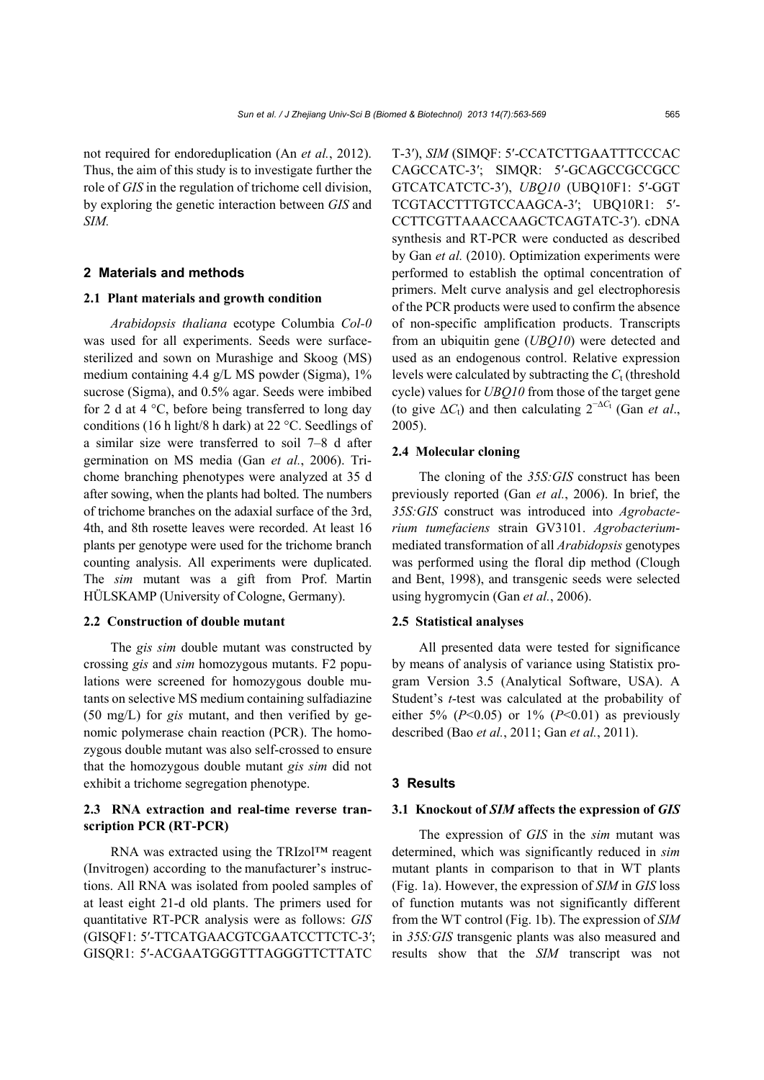not required for endoreduplication (An *et al.*, 2012). Thus, the aim of this study is to investigate further the role of *GIS* in the regulation of trichome cell division, by exploring the genetic interaction between *GIS* and *SIM.*

## **2 Materials and methods**

#### **2.1 Plant materials and growth condition**

*Arabidopsis thaliana* ecotype Columbia *Col-0* was used for all experiments. Seeds were surfacesterilized and sown on Murashige and Skoog (MS) medium containing 4.4 g/L MS powder (Sigma), 1% sucrose (Sigma), and 0.5% agar. Seeds were imbibed for 2 d at 4 °C, before being transferred to long day conditions (16 h light/8 h dark) at 22 °C. Seedlings of a similar size were transferred to soil 7–8 d after germination on MS media (Gan *et al.*, 2006). Trichome branching phenotypes were analyzed at 35 d after sowing, when the plants had bolted. The numbers of trichome branches on the adaxial surface of the 3rd, 4th, and 8th rosette leaves were recorded. At least 16 plants per genotype were used for the trichome branch counting analysis. All experiments were duplicated. The *sim* mutant was a gift from Prof. Martin HÜLSKAMP (University of Cologne, Germany).

#### **2.2 Construction of double mutant**

The *gis sim* double mutant was constructed by crossing *gis* and *sim* homozygous mutants. F2 populations were screened for homozygous double mutants on selective MS medium containing sulfadiazine (50 mg/L) for *gis* mutant, and then verified by genomic polymerase chain reaction (PCR). The homozygous double mutant was also self-crossed to ensure that the homozygous double mutant *gis sim* did not exhibit a trichome segregation phenotype.

# **2.3 RNA extraction and real-time reverse transcription PCR (RT-PCR)**

RNA was extracted using the TRIzol™ reagent (Invitrogen) according to the manufacturer's instructions. All RNA was isolated from pooled samples of at least eight 21-d old plants. The primers used for quantitative RT-PCR analysis were as follows: *GIS* (GISQF1: 5′-TTCATGAACGTCGAATCCTTCTC-3′; GISQR1: 5′-ACGAATGGGTTTAGGGTTCTTATC

T-3′), *SIM* (SIMQF: 5′-CCATCTTGAATTTCCCAC CAGCCATC-3′; SIMQR: 5′-GCAGCCGCCGCC GTCATCATCTC-3′), *UBQ10* (UBQ10F1: 5′-GGT TCGTACCTTTGTCCAAGCA-3′; UBQ10R1: 5′- CCTTCGTTAAACCAAGCTCAGTATC-3′). cDNA synthesis and RT-PCR were conducted as described by Gan *et al.* (2010). Optimization experiments were performed to establish the optimal concentration of primers. Melt curve analysis and gel electrophoresis of the PCR products were used to confirm the absence of non-specific amplification products. Transcripts from an ubiquitin gene (*UBQ10*) were detected and used as an endogenous control. Relative expression levels were calculated by subtracting the  $C<sub>t</sub>$  (threshold cycle) values for *UBQ10* from those of the target gene (to give  $\Delta C_t$ ) and then calculating  $2^{-\Delta C_t}$  (Gan *et al.*, 2005).

#### **2.4 Molecular cloning**

The cloning of the *35S:GIS* construct has been previously reported (Gan *et al.*, 2006). In brief, the *35S:GIS* construct was introduced into *Agrobacterium tumefaciens* strain GV3101. *Agrobacterium*mediated transformation of all *Arabidopsis* genotypes was performed using the floral dip method (Clough and Bent, 1998), and transgenic seeds were selected using hygromycin (Gan *et al.*, 2006).

#### **2.5 Statistical analyses**

All presented data were tested for significance by means of analysis of variance using Statistix program Version 3.5 (Analytical Software, USA). A Student's *t*-test was calculated at the probability of either 5% ( $P<0.05$ ) or 1% ( $P<0.01$ ) as previously described (Bao *et al.*, 2011; Gan *et al.*, 2011).

#### **3 Results**

#### **3.1 Knockout of** *SIM* **affects the expression of** *GIS*

The expression of *GIS* in the *sim* mutant was determined, which was significantly reduced in *sim* mutant plants in comparison to that in WT plants (Fig. 1a). However, the expression of *SIM* in *GIS* loss of function mutants was not significantly different from the WT control (Fig. 1b). The expression of *SIM* in *35S:GIS* transgenic plants was also measured and results show that the *SIM* transcript was not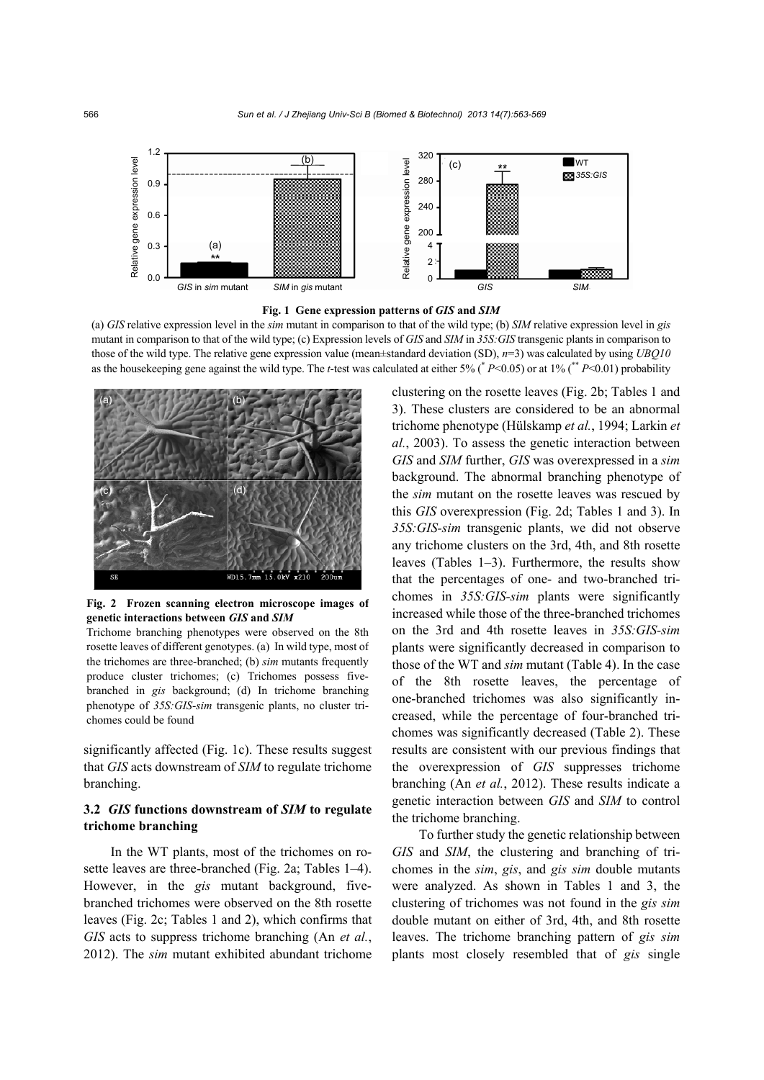

**Fig. 1 Gene expression patterns of** *GIS* **and** *SIM* 

(a) *GIS* relative expression level in the *sim* mutant in comparison to that of the wild type; (b) *SIM* relative expression level in *gis* mutant in comparison to that of the wild type; (c) Expression levels of *GIS* and *SIM* in *35S:GIS* transgenic plants in comparison to those of the wild type. The relative gene expression value (mean±standard deviation (SD), *n*=3) was calculated by using *UBQ10* as the housekeeping gene against the wild type. The *t*-test was calculated at either 5% (\* *P*<0.05) or at 1% (\*\* *P*<0.01) probability



**Fig. 2 Frozen scanning electron microscope images of genetic interactions between** *GIS* **and** *SIM* 

Trichome branching phenotypes were observed on the 8th rosette leaves of different genotypes. (a) In wild type, most of the trichomes are three-branched; (b) *sim* mutants frequently produce cluster trichomes; (c) Trichomes possess fivebranched in *gis* background; (d) In trichome branching phenotype of *35S:GIS*-*sim* transgenic plants, no cluster trichomes could be found

significantly affected (Fig. 1c). These results suggest that *GIS* acts downstream of *SIM* to regulate trichome branching.

# **3.2** *GIS* **functions downstream of** *SIM* **to regulate trichome branching**

In the WT plants, most of the trichomes on rosette leaves are three-branched (Fig. 2a; Tables 1–4). However, in the *gis* mutant background, fivebranched trichomes were observed on the 8th rosette leaves (Fig. 2c; Tables 1 and 2), which confirms that *GIS* acts to suppress trichome branching (An *et al.*, 2012). The *sim* mutant exhibited abundant trichome clustering on the rosette leaves (Fig. 2b; Tables 1 and 3). These clusters are considered to be an abnormal trichome phenotype (Hülskamp *et al.*, 1994; Larkin *et al.*, 2003). To assess the genetic interaction between *GIS* and *SIM* further, *GIS* was overexpressed in a *sim* background. The abnormal branching phenotype of the *sim* mutant on the rosette leaves was rescued by this *GIS* overexpression (Fig. 2d; Tables 1 and 3). In *35S:GIS-sim* transgenic plants, we did not observe any trichome clusters on the 3rd, 4th, and 8th rosette leaves (Tables 1–3). Furthermore, the results show that the percentages of one- and two-branched trichomes in *35S:GIS-sim* plants were significantly increased while those of the three-branched trichomes on the 3rd and 4th rosette leaves in *35S:GIS-sim* plants were significantly decreased in comparison to those of the WT and *sim* mutant (Table 4). In the case of the 8th rosette leaves, the percentage of one-branched trichomes was also significantly increased, while the percentage of four-branched trichomes was significantly decreased (Table 2). These results are consistent with our previous findings that the overexpression of *GIS* suppresses trichome branching (An *et al.*, 2012). These results indicate a genetic interaction between *GIS* and *SIM* to control the trichome branching.

To further study the genetic relationship between *GIS* and *SIM*, the clustering and branching of trichomes in the *sim*, *gis*, and *gis sim* double mutants were analyzed. As shown in Tables 1 and 3, the clustering of trichomes was not found in the *gis sim*  double mutant on either of 3rd, 4th, and 8th rosette leaves. The trichome branching pattern of *gis sim* plants most closely resembled that of *gis* single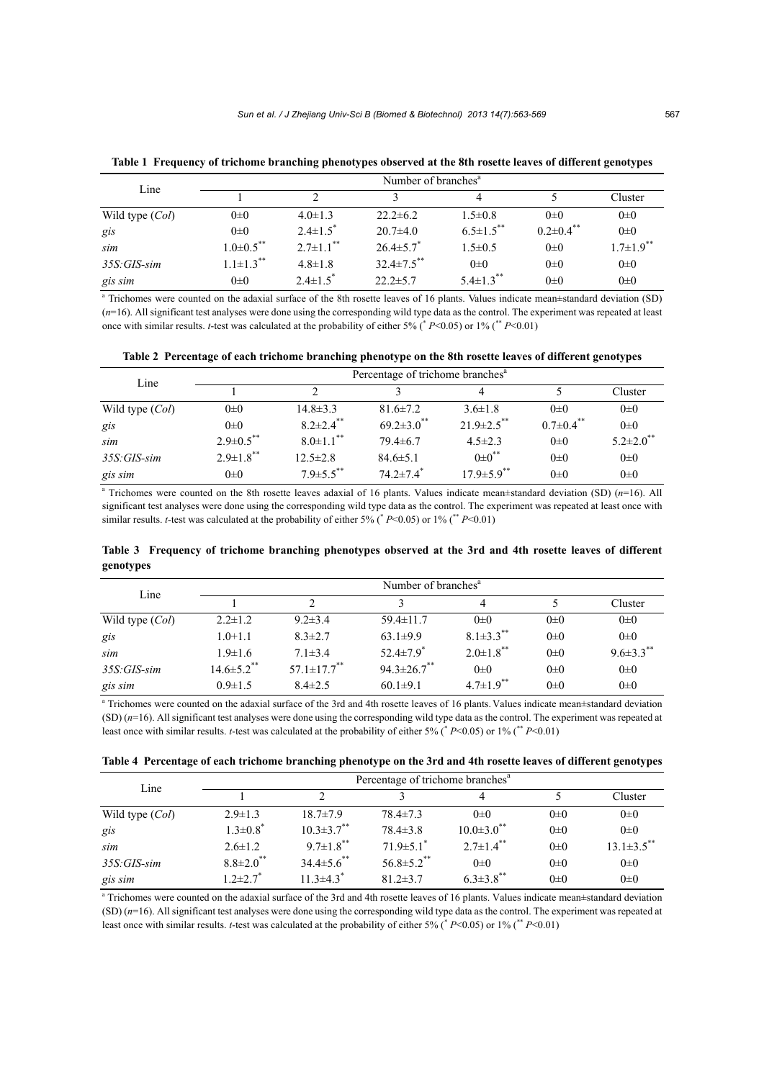| Line            | Number of branches <sup>a</sup> |                            |                   |                             |                             |                             |  |  |  |
|-----------------|---------------------------------|----------------------------|-------------------|-----------------------------|-----------------------------|-----------------------------|--|--|--|
|                 |                                 |                            |                   | 4                           |                             | Cluster                     |  |  |  |
| Wild type (Col) | $0\pm 0$                        | $4.0 \pm 1.3$              | $22.2 \pm 6.2$    | $1.5 \pm 0.8$               | $0\pm 0$                    | $0\pm 0$                    |  |  |  |
| gis             | $0\pm 0$                        | $2.4 \pm 1.5$ <sup>*</sup> | $20.7\pm4.0$      | $6.5 \pm 1.5$ **            | $0.2 \pm 0.4$ <sup>**</sup> | $0\pm 0$                    |  |  |  |
| sim             | $1.0\pm0.5$ **                  | $2.7\pm1.1$ <sup>**</sup>  | $26.4 \pm 5.7$    | $1.5 \pm 0.5$               | $0\pm 0$                    | $1.7 \pm 1.9$ <sup>**</sup> |  |  |  |
| $35S: GIS$ -sim | $1.1 \pm 1.3$ <sup>**</sup>     | $4.8 \pm 1.8$              | $32.4 \pm 7.5$ ** | $0\pm 0$                    | $0\pm 0$                    | $0\pm 0$                    |  |  |  |
| gis sim         | $0\pm 0$                        | $2.4 \pm 1.5$ <sup>*</sup> | $22.2 \pm 5.7$    | $5.4 \pm 1.3$ <sup>**</sup> | $0\pm 0$                    | $0\pm 0$                    |  |  |  |

**Table 1 Frequency of trichome branching phenotypes observed at the 8th rosette leaves of different genotypes**

a Trichomes were counted on the adaxial surface of the 8th rosette leaves of 16 plants. Values indicate mean±standard deviation (SD) (*n*=16). All significant test analyses were done using the corresponding wild type data as the control. The experiment was repeated at least once with similar results. *t*-test was calculated at the probability of either 5% (\* *P*<0.05) or 1% (\*\* *P*<0.01)

|  |  |  | Table 2 Percentage of each trichome branching phenotype on the 8th rosette leaves of different genotypes |
|--|--|--|----------------------------------------------------------------------------------------------------------|
|  |  |  |                                                                                                          |

| Line            | Percentage of trichome branches <sup>a</sup> |                             |                              |                              |                             |                             |  |  |  |
|-----------------|----------------------------------------------|-----------------------------|------------------------------|------------------------------|-----------------------------|-----------------------------|--|--|--|
|                 |                                              |                             |                              | 4                            |                             | Cluster                     |  |  |  |
| Wild type (Col) | $0\pm 0$                                     | $14.8 \pm 3.3$              | $81.6 \pm 7.2$               | $3.6 \pm 1.8$                | $0\pm 0$                    | $0\pm 0$                    |  |  |  |
| gis             | $0\pm 0$                                     | $8.2 \pm 2.4$ <sup>**</sup> | $69.2 \pm 3.0$ <sup>**</sup> | $21.9 \pm 2.5$ <sup>**</sup> | $0.7 \pm 0.4$ <sup>**</sup> | $0\pm 0$                    |  |  |  |
| sim             | $2.9 \pm 0.5$ **                             | $8.0 \pm 1.1$ <sup>**</sup> | $79.4 \pm 6.7$               | $4.5 \pm 2.3$                | $0\pm 0$                    | $5.2 \pm 2.0$ <sup>**</sup> |  |  |  |
| $35S: GIS$ -sim | $2.9 \pm 1.8$ **                             | $12.5 \pm 2.8$              | $84.6 \pm 5.1$               | $0 \pm 0$ <sup>**</sup>      | $0\pm 0$                    | $0\pm 0$                    |  |  |  |
| gis sim         | $0\pm 0$                                     | $7.9 \pm 5.5$ **            | $74.2 \pm 7.4$ <sup>*</sup>  | $17.9 \pm 5.9$ <sup>**</sup> | $0\pm 0$                    | $0\pm 0$                    |  |  |  |

a Trichomes were counted on the 8th rosette leaves adaxial of 16 plants. Values indicate mean±standard deviation (SD) (*n*=16). All significant test analyses were done using the corresponding wild type data as the control. The experiment was repeated at least once with similar results. *t*-test was calculated at the probability of either 5% ( $* P<0.05$ ) or 1% ( $* P<0.01$ )

|           | Table 3 Frequency of trichome branching phenotypes observed at the 3rd and 4th rosette leaves of different |  |  |  |  |  |  |
|-----------|------------------------------------------------------------------------------------------------------------|--|--|--|--|--|--|
| genotypes |                                                                                                            |  |  |  |  |  |  |

| Line            |                              | Number of branches <sup>a</sup> |                             |                             |          |                             |  |  |  |  |
|-----------------|------------------------------|---------------------------------|-----------------------------|-----------------------------|----------|-----------------------------|--|--|--|--|
|                 |                              |                                 |                             | 4                           |          | Cluster                     |  |  |  |  |
| Wild type (Col) | $2.2 \pm 1.2$                | $9.2 \pm 3.4$                   | $59.4 \pm 11.7$             | $0\pm 0$                    | $0\pm 0$ | $0\pm 0$                    |  |  |  |  |
| gis             | $1.0 + 1.1$                  | $8.3 \pm 2.7$                   | $63.1 \pm 9.9$              | $8.1 \pm 3.3$ <sup>**</sup> | $0\pm 0$ | $0\pm 0$                    |  |  |  |  |
| sim             | $1.9 \pm 1.6$                | $7.1 \pm 3.4$                   | 52.4 $\pm$ 7.9 <sup>*</sup> | $2.0 \pm 1.8$ <sup>**</sup> | $0\pm 0$ | $9.6 \pm 3.3$ <sup>**</sup> |  |  |  |  |
| 35S: GIS-sim    | $14.6 \pm 5.2$ <sup>**</sup> | $57.1 \pm 17.7$ <sup>**</sup>   | $94.3 \pm 26.7$ **          | $0\pm 0$                    | $0\pm 0$ | $0\pm 0$                    |  |  |  |  |
| gis sim         | $0.9 \pm 1.5$                | $8.4 \pm 2.5$                   | $60.1 \pm 9.1$              | $4.7 \pm 1.9$ <sup>**</sup> | $0\pm 0$ | $0\pm 0$                    |  |  |  |  |

<sup>a</sup> Trichomes were counted on the adaxial surface of the 3rd and 4th rosette leaves of 16 plants. Values indicate mean±standard deviation (SD) (*n*=16). All significant test analyses were done using the corresponding wild type data as the control. The experiment was repeated at least once with similar results. *t*-test was calculated at the probability of either 5% (\* *P*<0.05) or 1% (\*\* *P*<0.01)

|  |  |  | Table 4 Percentage of each trichome branching phenotype on the 3rd and 4th rosette leaves of different genotypes |
|--|--|--|------------------------------------------------------------------------------------------------------------------|
|  |  |  |                                                                                                                  |

| Line            | Percentage of trichome branches <sup>a</sup> |                              |                             |                              |          |                   |  |  |
|-----------------|----------------------------------------------|------------------------------|-----------------------------|------------------------------|----------|-------------------|--|--|
|                 |                                              |                              |                             | 4                            |          | Cluster           |  |  |
| Wild type (Col) | $2.9 \pm 1.3$                                | $18.7 \pm 7.9$               | $78.4 \pm 7.3$              | $0\pm 0$                     | $0\pm 0$ | $0\pm 0$          |  |  |
| gis             | $1.3 \pm 0.8$                                | $10.3 \pm 3.7$ <sup>**</sup> | $78.4 \pm 3.8$              | $10.0 \pm 3.0$ <sup>**</sup> | $0\pm 0$ | $0\pm 0$          |  |  |
| sim             | $2.6 \pm 1.2$                                | $9.7 \pm 1.8$ <sup>**</sup>  | $71.9 \pm 5.1$ <sup>*</sup> | $2.7 \pm 1.4$ <sup>**</sup>  | $0\pm 0$ | $13.1 \pm 3.5$ ** |  |  |
| $35S: GIS$ -sim | $8.8 \pm 2.0$ <sup>**</sup>                  | $34.4\pm5.6$ **              | $56.8 \pm 5.2$ **           | $0\pm 0$                     | $0\pm 0$ | $0\pm 0$          |  |  |
| gis sim         | $1.2 \pm 2.7^*$                              | $11.3 \pm 4.3$ <sup>*</sup>  | $81.2 \pm 3.7$              | $6.3 \pm 3.8$ <sup>**</sup>  | $0\pm 0$ | $0\pm 0$          |  |  |

<sup>a</sup> Trichomes were counted on the adaxial surface of the 3rd and 4th rosette leaves of 16 plants. Values indicate mean±standard deviation  $(SD)$  ( $n=16$ ). All significant test analyses were done using the corresponding wild type data as the control. The experiment was repeated at least once with similar results. *t*-test was calculated at the probability of either 5% (\* *P*<0.05) or 1% (\*\* *P*<0.01)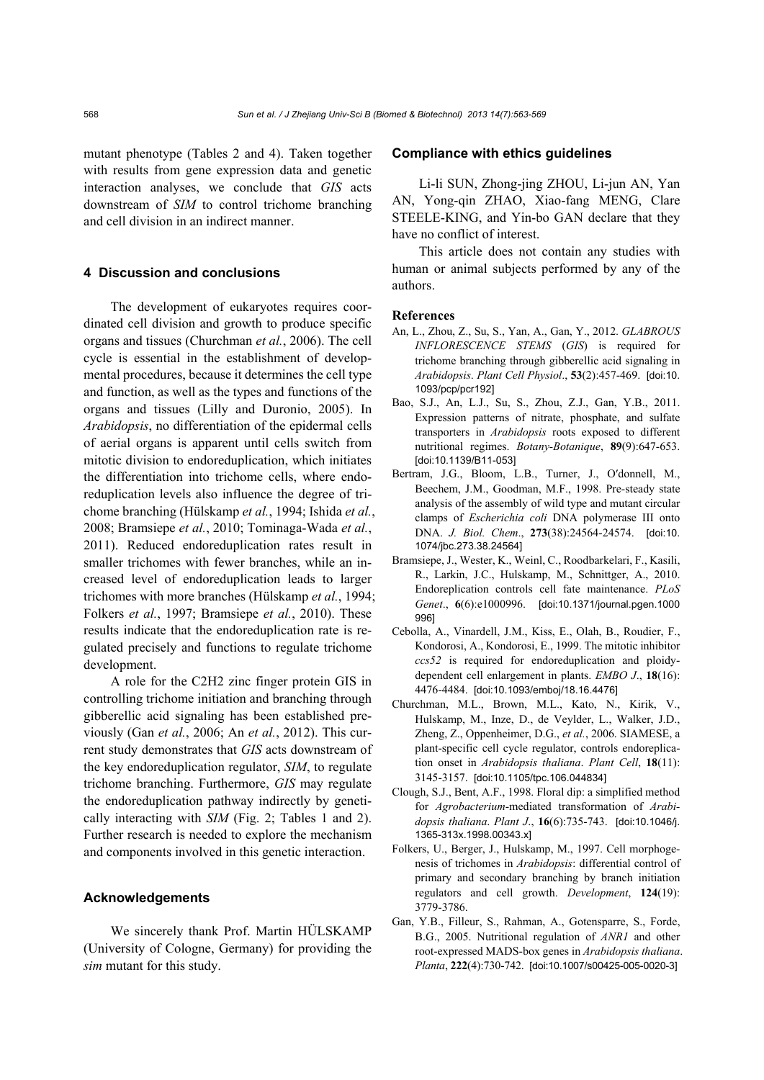mutant phenotype (Tables 2 and 4). Taken together with results from gene expression data and genetic interaction analyses, we conclude that *GIS* acts downstream of *SIM* to control trichome branching and cell division in an indirect manner.

## **4 Discussion and conclusions**

The development of eukaryotes requires coordinated cell division and growth to produce specific organs and tissues (Churchman *et al.*, 2006). The cell cycle is essential in the establishment of developmental procedures, because it determines the cell type and function, as well as the types and functions of the organs and tissues (Lilly and Duronio, 2005). In *Arabidopsis*, no differentiation of the epidermal cells of aerial organs is apparent until cells switch from mitotic division to endoreduplication, which initiates the differentiation into trichome cells, where endoreduplication levels also influence the degree of trichome branching (Hülskamp *et al.*, 1994; Ishida *et al.*, 2008; Bramsiepe *et al.*, 2010; Tominaga-Wada *et al.*, 2011). Reduced endoreduplication rates result in smaller trichomes with fewer branches, while an increased level of endoreduplication leads to larger trichomes with more branches (Hülskamp *et al.*, 1994; Folkers *et al.*, 1997; Bramsiepe *et al.*, 2010). These results indicate that the endoreduplication rate is regulated precisely and functions to regulate trichome development.

A role for the C2H2 zinc finger protein GIS in controlling trichome initiation and branching through gibberellic acid signaling has been established previously (Gan *et al.*, 2006; An *et al.*, 2012). This current study demonstrates that *GIS* acts downstream of the key endoreduplication regulator, *SIM*, to regulate trichome branching. Furthermore, *GIS* may regulate the endoreduplication pathway indirectly by genetically interacting with *SIM* (Fig. 2; Tables 1 and 2). Further research is needed to explore the mechanism and components involved in this genetic interaction.

#### **Acknowledgements**

We sincerely thank Prof. Martin HÜLSKAMP (University of Cologne, Germany) for providing the *sim* mutant for this study.

## **Compliance with ethics guidelines**

Li-li SUN, Zhong-jing ZHOU, Li-jun AN, Yan AN, Yong-qin ZHAO, Xiao-fang MENG, Clare STEELE-KING, and Yin-bo GAN declare that they have no conflict of interest.

This article does not contain any studies with human or animal subjects performed by any of the authors.

#### **References**

- An, L., Zhou, Z., Su, S., Yan, A., Gan, Y., 2012. *GLABROUS INFLORESCENCE STEMS* (*GIS*) is required for trichome branching through gibberellic acid signaling in *Arabidopsis*. *Plant Cell Physiol*., **53**(2):457-469. [doi:10. 1093/pcp/pcr192]
- Bao, S.J., An, L.J., Su, S., Zhou, Z.J., Gan, Y.B., 2011. Expression patterns of nitrate, phosphate, and sulfate transporters in *Arabidopsis* roots exposed to different nutritional regimes. *Botany-Botanique*, **89**(9):647-653. [doi:10.1139/B11-053]
- Bertram, J.G., Bloom, L.B., Turner, J., O′donnell, M., Beechem, J.M., Goodman, M.F., 1998. Pre-steady state analysis of the assembly of wild type and mutant circular clamps of *Escherichia coli* DNA polymerase III onto DNA. *J. Biol. Chem*., **273**(38):24564-24574. [doi:10. 1074/jbc.273.38.24564]
- Bramsiepe, J., Wester, K., Weinl, C., Roodbarkelari, F., Kasili, R., Larkin, J.C., Hulskamp, M., Schnittger, A., 2010. Endoreplication controls cell fate maintenance. *PLoS Genet*., **6**(6):e1000996. [doi:10.1371/journal.pgen.1000 996]
- Cebolla, A., Vinardell, J.M., Kiss, E., Olah, B., Roudier, F., Kondorosi, A., Kondorosi, E., 1999. The mitotic inhibitor *ccs52* is required for endoreduplication and ploidydependent cell enlargement in plants. *EMBO J*., **18**(16): 4476-4484. [doi:10.1093/emboj/18.16.4476]
- Churchman, M.L., Brown, M.L., Kato, N., Kirik, V., Hulskamp, M., Inze, D., de Veylder, L., Walker, J.D., Zheng, Z., Oppenheimer, D.G., *et al.*, 2006. SIAMESE, a plant-specific cell cycle regulator, controls endoreplication onset in *Arabidopsis thaliana*. *Plant Cell*, **18**(11): 3145-3157. [doi:10.1105/tpc.106.044834]
- Clough, S.J., Bent, A.F., 1998. Floral dip: a simplified method for *Agrobacterium*-mediated transformation of *Arabidopsis thaliana*. *Plant J*., **16**(6):735-743. [doi:10.1046/j. 1365-313x.1998.00343.x]
- Folkers, U., Berger, J., Hulskamp, M., 1997. Cell morphogenesis of trichomes in *Arabidopsis*: differential control of primary and secondary branching by branch initiation regulators and cell growth. *Development*, **124**(19): 3779-3786.
- Gan, Y.B., Filleur, S., Rahman, A., Gotensparre, S., Forde, B.G., 2005. Nutritional regulation of *ANR1* and other root-expressed MADS-box genes in *Arabidopsis thaliana*. *Planta*, **222**(4):730-742. [doi:10.1007/s00425-005-0020-3]